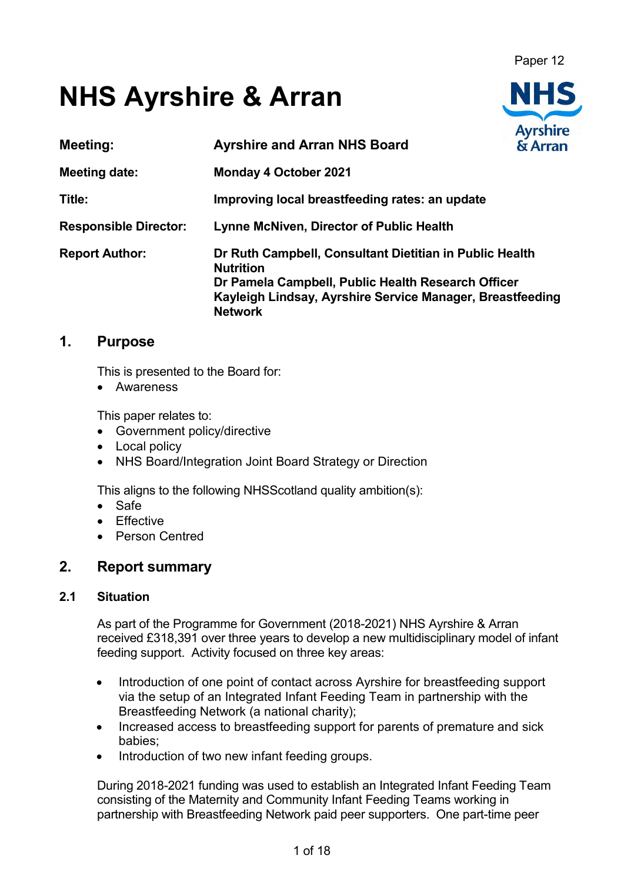Paper 12

# **NHS Ayrshire & Arran**

| <b>Meeting:</b>              | <b>Ayrshire and Arran NHS Board</b>                                                                                                                                                                              | <b>Ay I SHILE</b><br>& Arran |
|------------------------------|------------------------------------------------------------------------------------------------------------------------------------------------------------------------------------------------------------------|------------------------------|
| <b>Meeting date:</b>         | <b>Monday 4 October 2021</b>                                                                                                                                                                                     |                              |
| Title:                       | Improving local breastfeeding rates: an update                                                                                                                                                                   |                              |
| <b>Responsible Director:</b> | <b>Lynne McNiven, Director of Public Health</b>                                                                                                                                                                  |                              |
| <b>Report Author:</b>        | Dr Ruth Campbell, Consultant Dietitian in Public Health<br><b>Nutrition</b><br>Dr Pamela Campbell, Public Health Research Officer<br>Kayleigh Lindsay, Ayrshire Service Manager, Breastfeeding<br><b>Network</b> |                              |

# **1. Purpose**

This is presented to the Board for:

• Awareness

This paper relates to:

- Government policy/directive
- Local policy
- NHS Board/Integration Joint Board Strategy or Direction

This aligns to the following NHSScotland quality ambition(s):

- Safe
- Effective
- Person Centred

# **2. Report summary**

# **2.1 Situation**

As part of the Programme for Government (2018-2021) NHS Ayrshire & Arran received £318,391 over three years to develop a new multidisciplinary model of infant feeding support. Activity focused on three key areas:

- Introduction of one point of contact across Ayrshire for breastfeeding support via the setup of an Integrated Infant Feeding Team in partnership with the Breastfeeding Network (a national charity);
- Increased access to breastfeeding support for parents of premature and sick babies;
- Introduction of two new infant feeding groups.

During 2018-2021 funding was used to establish an Integrated Infant Feeding Team consisting of the Maternity and Community Infant Feeding Teams working in partnership with Breastfeeding Network paid peer supporters. One part-time peer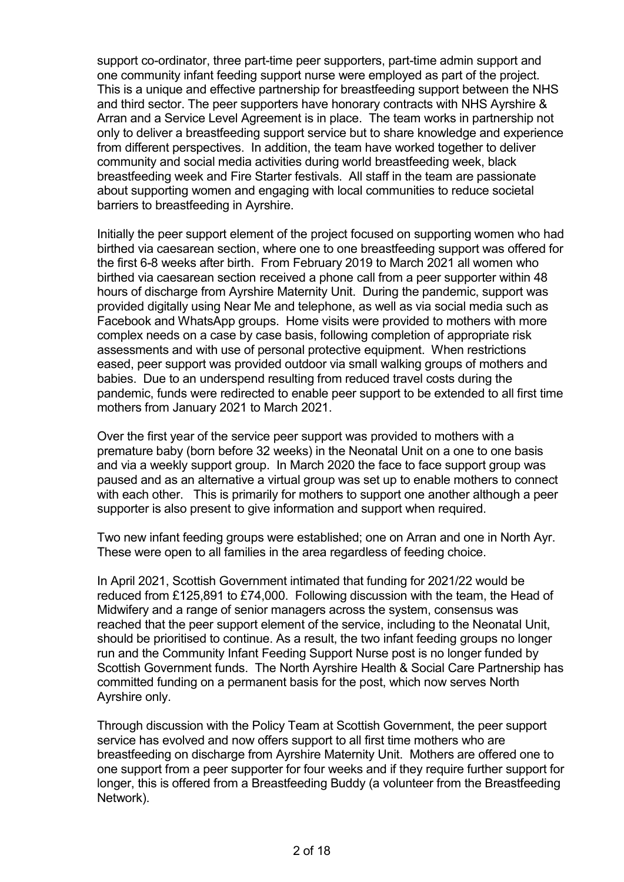support co-ordinator, three part-time peer supporters, part-time admin support and one community infant feeding support nurse were employed as part of the project. This is a unique and effective partnership for breastfeeding support between the NHS and third sector. The peer supporters have honorary contracts with NHS Ayrshire & Arran and a Service Level Agreement is in place. The team works in partnership not only to deliver a breastfeeding support service but to share knowledge and experience from different perspectives. In addition, the team have worked together to deliver community and social media activities during world breastfeeding week, black breastfeeding week and Fire Starter festivals. All staff in the team are passionate about supporting women and engaging with local communities to reduce societal barriers to breastfeeding in Ayrshire.

Initially the peer support element of the project focused on supporting women who had birthed via caesarean section, where one to one breastfeeding support was offered for the first 6-8 weeks after birth. From February 2019 to March 2021 all women who birthed via caesarean section received a phone call from a peer supporter within 48 hours of discharge from Ayrshire Maternity Unit. During the pandemic, support was provided digitally using Near Me and telephone, as well as via social media such as Facebook and WhatsApp groups. Home visits were provided to mothers with more complex needs on a case by case basis, following completion of appropriate risk assessments and with use of personal protective equipment. When restrictions eased, peer support was provided outdoor via small walking groups of mothers and babies. Due to an underspend resulting from reduced travel costs during the pandemic, funds were redirected to enable peer support to be extended to all first time mothers from January 2021 to March 2021.

Over the first year of the service peer support was provided to mothers with a premature baby (born before 32 weeks) in the Neonatal Unit on a one to one basis and via a weekly support group. In March 2020 the face to face support group was paused and as an alternative a virtual group was set up to enable mothers to connect with each other. This is primarily for mothers to support one another although a peer supporter is also present to give information and support when required.

Two new infant feeding groups were established; one on Arran and one in North Ayr. These were open to all families in the area regardless of feeding choice.

In April 2021, Scottish Government intimated that funding for 2021/22 would be reduced from £125,891 to £74,000. Following discussion with the team, the Head of Midwifery and a range of senior managers across the system, consensus was reached that the peer support element of the service, including to the Neonatal Unit, should be prioritised to continue. As a result, the two infant feeding groups no longer run and the Community Infant Feeding Support Nurse post is no longer funded by Scottish Government funds. The North Ayrshire Health & Social Care Partnership has committed funding on a permanent basis for the post, which now serves North Ayrshire only.

Through discussion with the Policy Team at Scottish Government, the peer support service has evolved and now offers support to all first time mothers who are breastfeeding on discharge from Ayrshire Maternity Unit. Mothers are offered one to one support from a peer supporter for four weeks and if they require further support for longer, this is offered from a Breastfeeding Buddy (a volunteer from the Breastfeeding Network).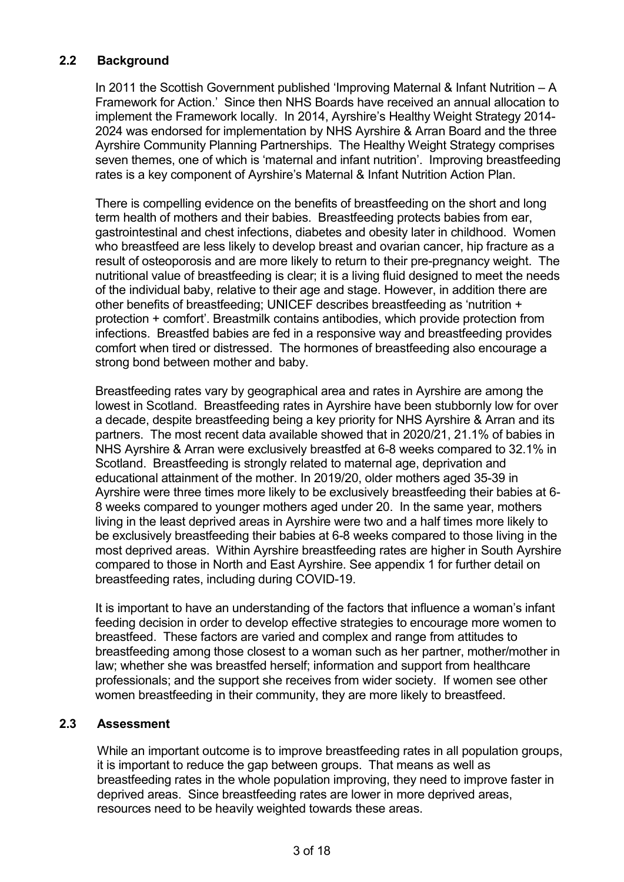# **2.2 Background**

In 2011 the Scottish Government published 'Improving Maternal & Infant Nutrition – A Framework for Action.' Since then NHS Boards have received an annual allocation to implement the Framework locally. In 2014, Ayrshire's Healthy Weight Strategy 2014- 2024 was endorsed for implementation by NHS Ayrshire & Arran Board and the three Ayrshire Community Planning Partnerships. The Healthy Weight Strategy comprises seven themes, one of which is 'maternal and infant nutrition'. Improving breastfeeding rates is a key component of Ayrshire's Maternal & Infant Nutrition Action Plan.

There is compelling evidence on the benefits of breastfeeding on the short and long term health of mothers and their babies. Breastfeeding protects babies from ear, gastrointestinal and chest infections, diabetes and obesity later in childhood. Women who breastfeed are less likely to develop breast and ovarian cancer, hip fracture as a result of osteoporosis and are more likely to return to their pre-pregnancy weight. The nutritional value of breastfeeding is clear; it is a living fluid designed to meet the needs of the individual baby, relative to their age and stage. However, in addition there are other benefits of breastfeeding; UNICEF describes breastfeeding as 'nutrition + protection + comfort'. Breastmilk contains antibodies, which provide protection from infections. Breastfed babies are fed in a responsive way and breastfeeding provides comfort when tired or distressed. The hormones of breastfeeding also encourage a strong bond between mother and baby.

Breastfeeding rates vary by geographical area and rates in Ayrshire are among the lowest in Scotland. Breastfeeding rates in Ayrshire have been stubbornly low for over a decade, despite breastfeeding being a key priority for NHS Ayrshire & Arran and its partners. The most recent data available showed that in 2020/21, 21.1% of babies in NHS Ayrshire & Arran were exclusively breastfed at 6-8 weeks compared to 32.1% in Scotland. Breastfeeding is strongly related to maternal age, deprivation and educational attainment of the mother. In 2019/20, older mothers aged 35-39 in Ayrshire were three times more likely to be exclusively breastfeeding their babies at 6- 8 weeks compared to younger mothers aged under 20. In the same year, mothers living in the least deprived areas in Ayrshire were two and a half times more likely to be exclusively breastfeeding their babies at 6-8 weeks compared to those living in the most deprived areas. Within Ayrshire breastfeeding rates are higher in South Ayrshire compared to those in North and East Ayrshire. See appendix 1 for further detail on breastfeeding rates, including during COVID-19.

It is important to have an understanding of the factors that influence a woman's infant feeding decision in order to develop effective strategies to encourage more women to breastfeed. These factors are varied and complex and range from attitudes to breastfeeding among those closest to a woman such as her partner, mother/mother in law; whether she was breastfed herself; information and support from healthcare professionals; and the support she receives from wider society. If women see other women breastfeeding in their community, they are more likely to breastfeed.

## **2.3 Assessment**

While an important outcome is to improve breastfeeding rates in all population groups, it is important to reduce the gap between groups. That means as well as breastfeeding rates in the whole population improving, they need to improve faster in deprived areas. Since breastfeeding rates are lower in more deprived areas, resources need to be heavily weighted towards these areas.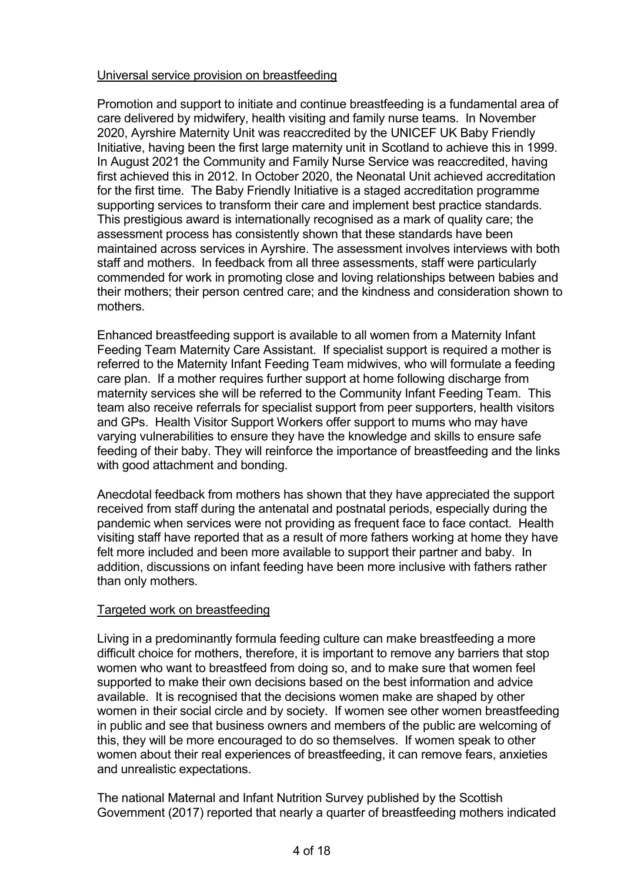#### Universal service provision on breastfeeding

Promotion and support to initiate and continue breastfeeding is a fundamental area of care delivered by midwifery, health visiting and family nurse teams. In November 2020, Ayrshire Maternity Unit was reaccredited by the UNICEF UK Baby Friendly Initiative, having been the first large maternity unit in Scotland to achieve this in 1999. In August 2021 the Community and Family Nurse Service was reaccredited, having first achieved this in 2012. In October 2020, the Neonatal Unit achieved accreditation for the first time. The Baby Friendly Initiative is a staged accreditation programme supporting services to transform their care and implement best practice standards. This prestigious award is internationally recognised as a mark of quality care; the assessment process has consistently shown that these standards have been maintained across services in Ayrshire. The assessment involves interviews with both staff and mothers. In feedback from all three assessments, staff were particularly commended for work in promoting close and loving relationships between babies and their mothers; their person centred care; and the kindness and consideration shown to mothers.

Enhanced breastfeeding support is available to all women from a Maternity Infant Feeding Team Maternity Care Assistant. If specialist support is required a mother is referred to the Maternity Infant Feeding Team midwives, who will formulate a feeding care plan. If a mother requires further support at home following discharge from maternity services she will be referred to the Community Infant Feeding Team. This team also receive referrals for specialist support from peer supporters, health visitors and GPs. Health Visitor Support Workers offer support to mums who may have varying vulnerabilities to ensure they have the knowledge and skills to ensure safe feeding of their baby. They will reinforce the importance of breastfeeding and the links with good attachment and bonding.

Anecdotal feedback from mothers has shown that they have appreciated the support received from staff during the antenatal and postnatal periods, especially during the pandemic when services were not providing as frequent face to face contact. Health visiting staff have reported that as a result of more fathers working at home they have felt more included and been more available to support their partner and baby. In addition, discussions on infant feeding have been more inclusive with fathers rather than only mothers.

#### Targeted work on breastfeeding

Living in a predominantly formula feeding culture can make breastfeeding a more difficult choice for mothers, therefore, it is important to remove any barriers that stop women who want to breastfeed from doing so, and to make sure that women feel supported to make their own decisions based on the best information and advice available. It is recognised that the decisions women make are shaped by other women in their social circle and by society. If women see other women breastfeeding in public and see that business owners and members of the public are welcoming of this, they will be more encouraged to do so themselves. If women speak to other women about their real experiences of breastfeeding, it can remove fears, anxieties and unrealistic expectations.

The national Maternal and Infant Nutrition Survey published by the Scottish Government (2017) reported that nearly a quarter of breastfeeding mothers indicated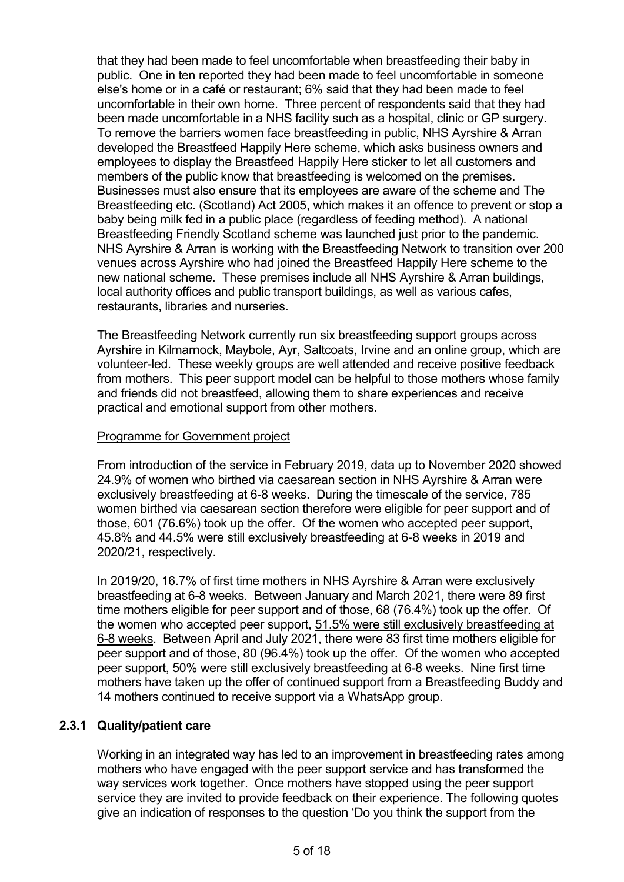that they had been made to feel uncomfortable when breastfeeding their baby in public. One in ten reported they had been made to feel uncomfortable in someone else's home or in a café or restaurant; 6% said that they had been made to feel uncomfortable in their own home. Three percent of respondents said that they had been made uncomfortable in a NHS facility such as a hospital, clinic or GP surgery. To remove the barriers women face breastfeeding in public, NHS Ayrshire & Arran developed the Breastfeed Happily Here scheme, which asks business owners and employees to display the Breastfeed Happily Here sticker to let all customers and members of the public know that breastfeeding is welcomed on the premises. Businesses must also ensure that its employees are aware of the scheme and The Breastfeeding etc. (Scotland) Act 2005, which makes it an offence to prevent or stop a baby being milk fed in a public place (regardless of feeding method). A national Breastfeeding Friendly Scotland scheme was launched just prior to the pandemic. NHS Ayrshire & Arran is working with the Breastfeeding Network to transition over 200 venues across Ayrshire who had joined the Breastfeed Happily Here scheme to the new national scheme. These premises include all NHS Ayrshire & Arran buildings, local authority offices and public transport buildings, as well as various cafes, restaurants, libraries and nurseries.

The Breastfeeding Network currently run six breastfeeding support groups across Ayrshire in Kilmarnock, Maybole, Ayr, Saltcoats, Irvine and an online group, which are volunteer-led. These weekly groups are well attended and receive positive feedback from mothers. This peer support model can be helpful to those mothers whose family and friends did not breastfeed, allowing them to share experiences and receive practical and emotional support from other mothers.

### Programme for Government project

From introduction of the service in February 2019, data up to November 2020 showed 24.9% of women who birthed via caesarean section in NHS Ayrshire & Arran were exclusively breastfeeding at 6-8 weeks. During the timescale of the service, 785 women birthed via caesarean section therefore were eligible for peer support and of those, 601 (76.6%) took up the offer. Of the women who accepted peer support, 45.8% and 44.5% were still exclusively breastfeeding at 6-8 weeks in 2019 and 2020/21, respectively.

In 2019/20, 16.7% of first time mothers in NHS Ayrshire & Arran were exclusively breastfeeding at 6-8 weeks. Between January and March 2021, there were 89 first time mothers eligible for peer support and of those, 68 (76.4%) took up the offer. Of the women who accepted peer support, 51.5% were still exclusively breastfeeding at 6-8 weeks. Between April and July 2021, there were 83 first time mothers eligible for peer support and of those, 80 (96.4%) took up the offer. Of the women who accepted peer support, 50% were still exclusively breastfeeding at 6-8 weeks. Nine first time mothers have taken up the offer of continued support from a Breastfeeding Buddy and 14 mothers continued to receive support via a WhatsApp group.

#### **2.3.1 Quality/patient care**

Working in an integrated way has led to an improvement in breastfeeding rates among mothers who have engaged with the peer support service and has transformed the way services work together. Once mothers have stopped using the peer support service they are invited to provide feedback on their experience. The following quotes give an indication of responses to the question 'Do you think the support from the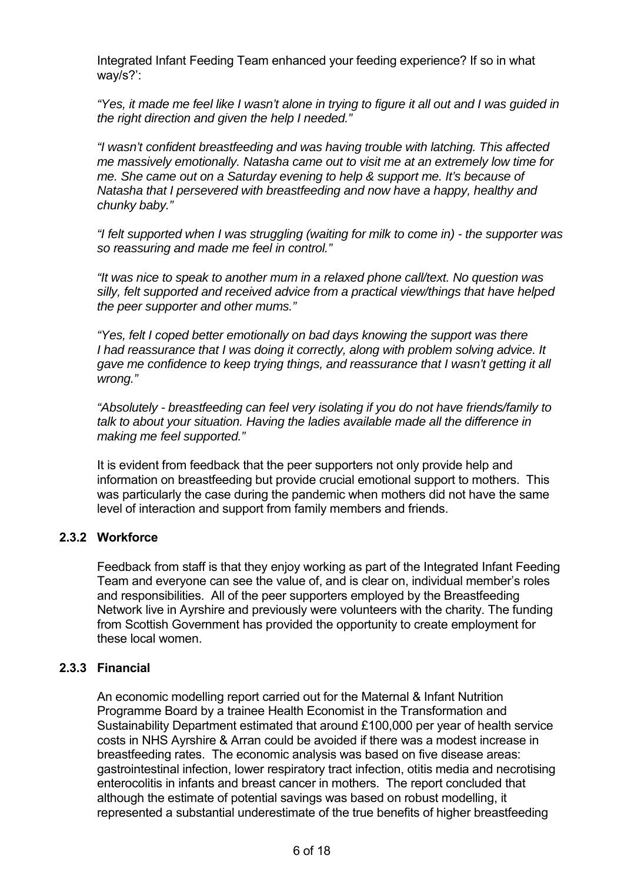Integrated Infant Feeding Team enhanced your feeding experience? If so in what way/s?':

*"Yes, it made me feel like I wasn't alone in trying to figure it all out and I was guided in the right direction and given the help I needed."*

*"I wasn't confident breastfeeding and was having trouble with latching. This affected me massively emotionally. Natasha came out to visit me at an extremely low time for me. She came out on a Saturday evening to help & support me. It's because of Natasha that I persevered with breastfeeding and now have a happy, healthy and chunky baby."*

*"I felt supported when I was struggling (waiting for milk to come in) - the supporter was so reassuring and made me feel in control."*

*"It was nice to speak to another mum in a relaxed phone call/text. No question was silly, felt supported and received advice from a practical view/things that have helped the peer supporter and other mums."*

*"Yes, felt I coped better emotionally on bad days knowing the support was there I had reassurance that I was doing it correctly, along with problem solving advice. It gave me confidence to keep trying things, and reassurance that I wasn't getting it all wrong."*

*"Absolutely - breastfeeding can feel very isolating if you do not have friends/family to talk to about your situation. Having the ladies available made all the difference in making me feel supported."*

It is evident from feedback that the peer supporters not only provide help and information on breastfeeding but provide crucial emotional support to mothers. This was particularly the case during the pandemic when mothers did not have the same level of interaction and support from family members and friends.

## **2.3.2 Workforce**

Feedback from staff is that they enjoy working as part of the Integrated Infant Feeding Team and everyone can see the value of, and is clear on, individual member's roles and responsibilities. All of the peer supporters employed by the Breastfeeding Network live in Ayrshire and previously were volunteers with the charity. The funding from Scottish Government has provided the opportunity to create employment for these local women.

#### **2.3.3 Financial**

An economic modelling report carried out for the Maternal & Infant Nutrition Programme Board by a trainee Health Economist in the Transformation and Sustainability Department estimated that around £100,000 per year of health service costs in NHS Ayrshire & Arran could be avoided if there was a modest increase in breastfeeding rates. The economic analysis was based on five disease areas: gastrointestinal infection, lower respiratory tract infection, otitis media and necrotising enterocolitis in infants and breast cancer in mothers. The report concluded that although the estimate of potential savings was based on robust modelling, it represented a substantial underestimate of the true benefits of higher breastfeeding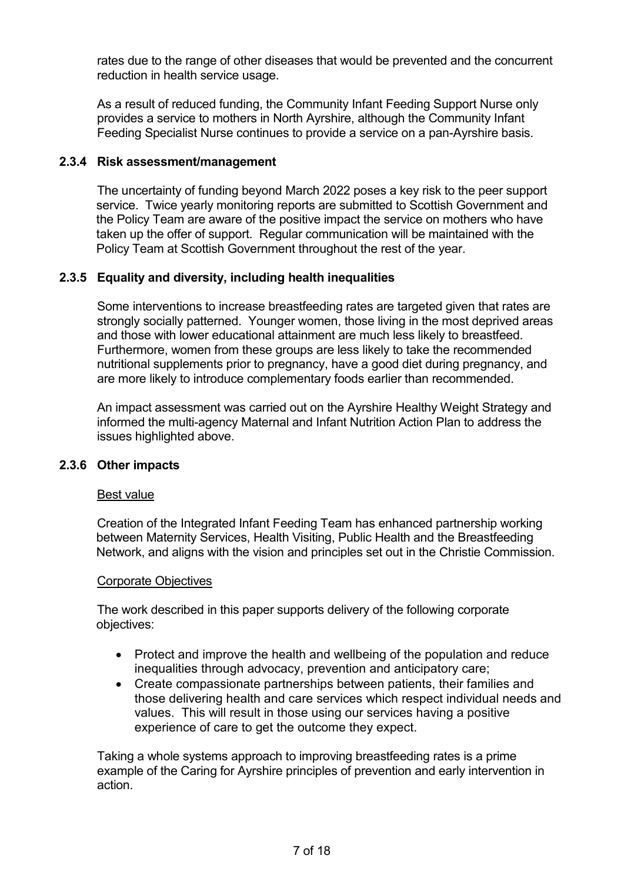rates due to the range of other diseases that would be prevented and the concurrent reduction in health service usage.

As a result of reduced funding, the Community Infant Feeding Support Nurse only provides a service to mothers in North Ayrshire, although the Community Infant Feeding Specialist Nurse continues to provide a service on a pan-Ayrshire basis.

## **2.3.4 Risk assessment/management**

The uncertainty of funding beyond March 2022 poses a key risk to the peer support service. Twice yearly monitoring reports are submitted to Scottish Government and the Policy Team are aware of the positive impact the service on mothers who have taken up the offer of support. Regular communication will be maintained with the Policy Team at Scottish Government throughout the rest of the year.

## **2.3.5 Equality and diversity, including health inequalities**

Some interventions to increase breastfeeding rates are targeted given that rates are strongly socially patterned. Younger women, those living in the most deprived areas and those with lower educational attainment are much less likely to breastfeed. Furthermore, women from these groups are less likely to take the recommended nutritional supplements prior to pregnancy, have a good diet during pregnancy, and are more likely to introduce complementary foods earlier than recommended.

An impact assessment was carried out on the Ayrshire Healthy Weight Strategy and informed the multi-agency Maternal and Infant Nutrition Action Plan to address the issues highlighted above.

#### **2.3.6 Other impacts**

#### Best value

Creation of the Integrated Infant Feeding Team has enhanced partnership working between Maternity Services, Health Visiting, Public Health and the Breastfeeding Network, and aligns with the vision and principles set out in the Christie Commission.

#### Corporate Objectives

The work described in this paper supports delivery of the following corporate objectives:

- Protect and improve the health and wellbeing of the population and reduce inequalities through advocacy, prevention and anticipatory care;
- Create compassionate partnerships between patients, their families and those delivering health and care services which respect individual needs and values. This will result in those using our services having a positive experience of care to get the outcome they expect.

Taking a whole systems approach to improving breastfeeding rates is a prime example of the Caring for Ayrshire principles of prevention and early intervention in action.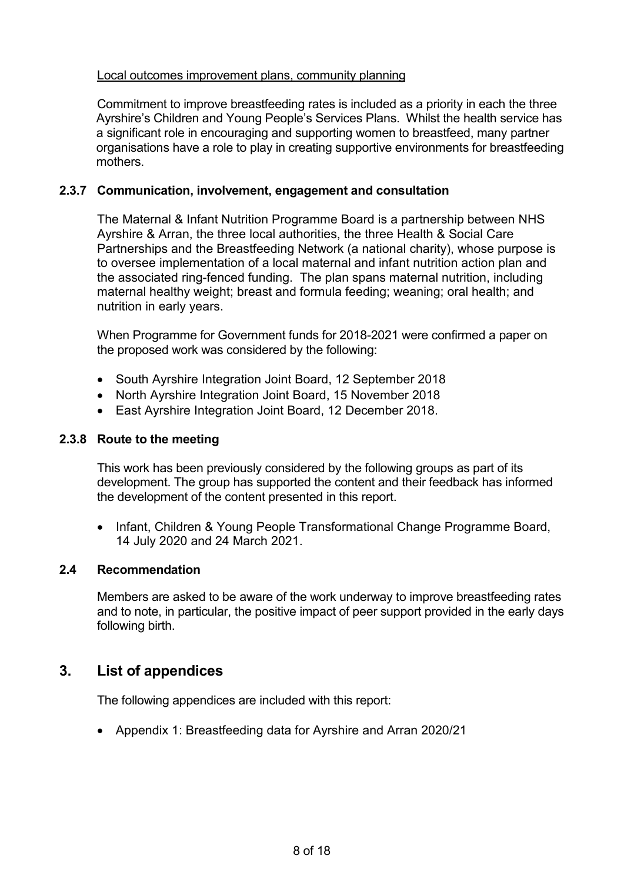#### Local outcomes improvement plans, community planning

Commitment to improve breastfeeding rates is included as a priority in each the three Ayrshire's Children and Young People's Services Plans. Whilst the health service has a significant role in encouraging and supporting women to breastfeed, many partner organisations have a role to play in creating supportive environments for breastfeeding mothers.

#### **2.3.7 Communication, involvement, engagement and consultation**

The Maternal & Infant Nutrition Programme Board is a partnership between NHS Ayrshire & Arran, the three local authorities, the three Health & Social Care Partnerships and the Breastfeeding Network (a national charity), whose purpose is to oversee implementation of a local maternal and infant nutrition action plan and the associated ring-fenced funding. The plan spans maternal nutrition, including maternal healthy weight; breast and formula feeding; weaning; oral health; and nutrition in early years.

When Programme for Government funds for 2018-2021 were confirmed a paper on the proposed work was considered by the following:

- South Ayrshire Integration Joint Board, 12 September 2018
- North Ayrshire Integration Joint Board, 15 November 2018
- East Ayrshire Integration Joint Board, 12 December 2018.

### **2.3.8 Route to the meeting**

This work has been previously considered by the following groups as part of its development. The group has supported the content and their feedback has informed the development of the content presented in this report.

• Infant, Children & Young People Transformational Change Programme Board, 14 July 2020 and 24 March 2021.

#### **2.4 Recommendation**

Members are asked to be aware of the work underway to improve breastfeeding rates and to note, in particular, the positive impact of peer support provided in the early days following birth.

# **3. List of appendices**

The following appendices are included with this report:

• Appendix 1: Breastfeeding data for Ayrshire and Arran 2020/21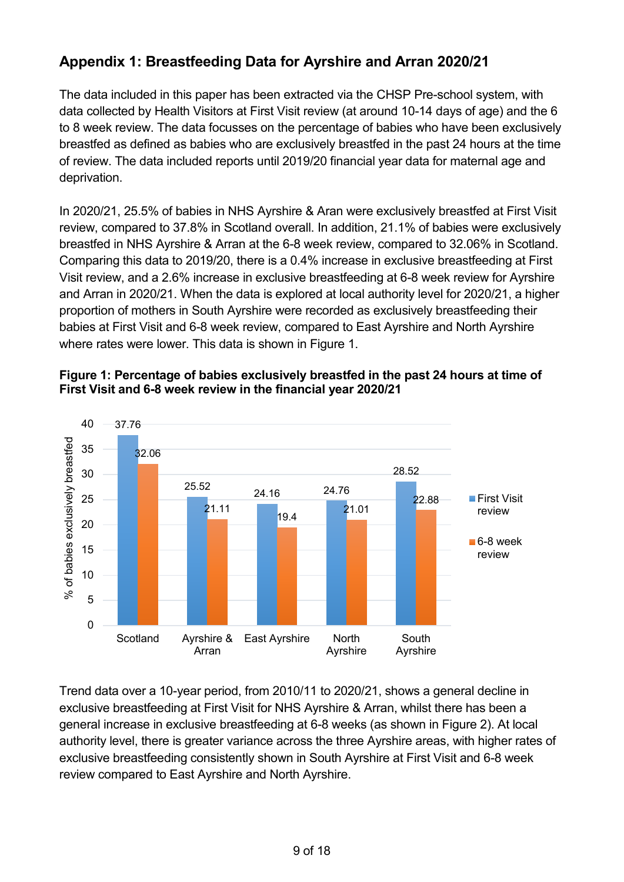# **Appendix 1: Breastfeeding Data for Ayrshire and Arran 2020/21**

The data included in this paper has been extracted via the CHSP Pre-school system, with data collected by Health Visitors at First Visit review (at around 10-14 days of age) and the 6 to 8 week review. The data focusses on the percentage of babies who have been exclusively breastfed as defined as babies who are exclusively breastfed in the past 24 hours at the time of review. The data included reports until 2019/20 financial year data for maternal age and deprivation.

In 2020/21, 25.5% of babies in NHS Ayrshire & Aran were exclusively breastfed at First Visit review, compared to 37.8% in Scotland overall. In addition, 21.1% of babies were exclusively breastfed in NHS Ayrshire & Arran at the 6-8 week review, compared to 32.06% in Scotland. Comparing this data to 2019/20, there is a 0.4% increase in exclusive breastfeeding at First Visit review, and a 2.6% increase in exclusive breastfeeding at 6-8 week review for Ayrshire and Arran in 2020/21. When the data is explored at local authority level for 2020/21, a higher proportion of mothers in South Ayrshire were recorded as exclusively breastfeeding their babies at First Visit and 6-8 week review, compared to East Ayrshire and North Ayrshire where rates were lower. This data is shown in Figure 1.



# **Figure 1: Percentage of babies exclusively breastfed in the past 24 hours at time of First Visit and 6-8 week review in the financial year 2020/21**

Trend data over a 10-year period, from 2010/11 to 2020/21, shows a general decline in exclusive breastfeeding at First Visit for NHS Ayrshire & Arran, whilst there has been a general increase in exclusive breastfeeding at 6-8 weeks (as shown in Figure 2). At local authority level, there is greater variance across the three Ayrshire areas, with higher rates of exclusive breastfeeding consistently shown in South Ayrshire at First Visit and 6-8 week review compared to East Ayrshire and North Ayrshire.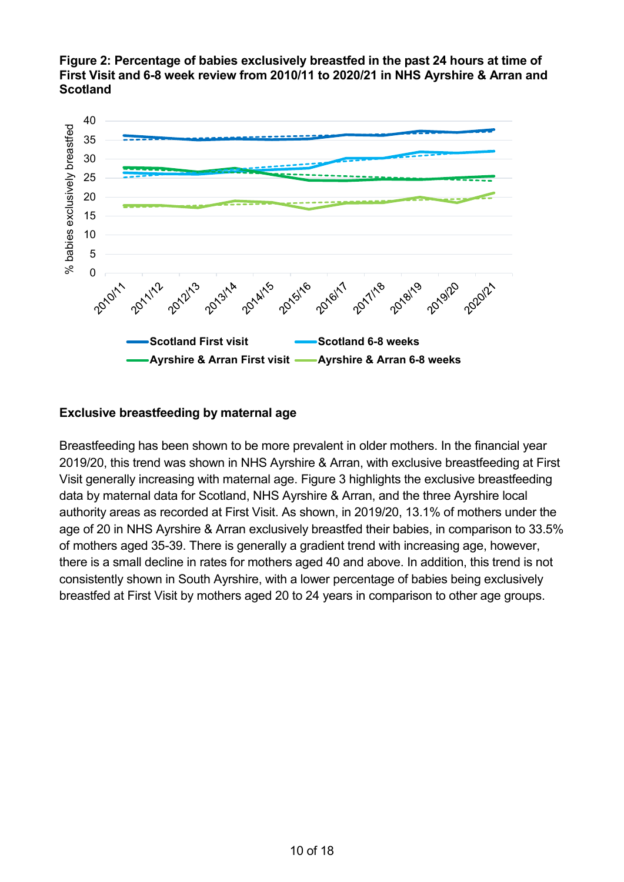



## **Exclusive breastfeeding by maternal age**

Breastfeeding has been shown to be more prevalent in older mothers. In the financial year 2019/20, this trend was shown in NHS Ayrshire & Arran, with exclusive breastfeeding at First Visit generally increasing with maternal age. Figure 3 highlights the exclusive breastfeeding data by maternal data for Scotland, NHS Ayrshire & Arran, and the three Ayrshire local authority areas as recorded at First Visit. As shown, in 2019/20, 13.1% of mothers under the age of 20 in NHS Ayrshire & Arran exclusively breastfed their babies, in comparison to 33.5% of mothers aged 35-39. There is generally a gradient trend with increasing age, however, there is a small decline in rates for mothers aged 40 and above. In addition, this trend is not consistently shown in South Ayrshire, with a lower percentage of babies being exclusively breastfed at First Visit by mothers aged 20 to 24 years in comparison to other age groups.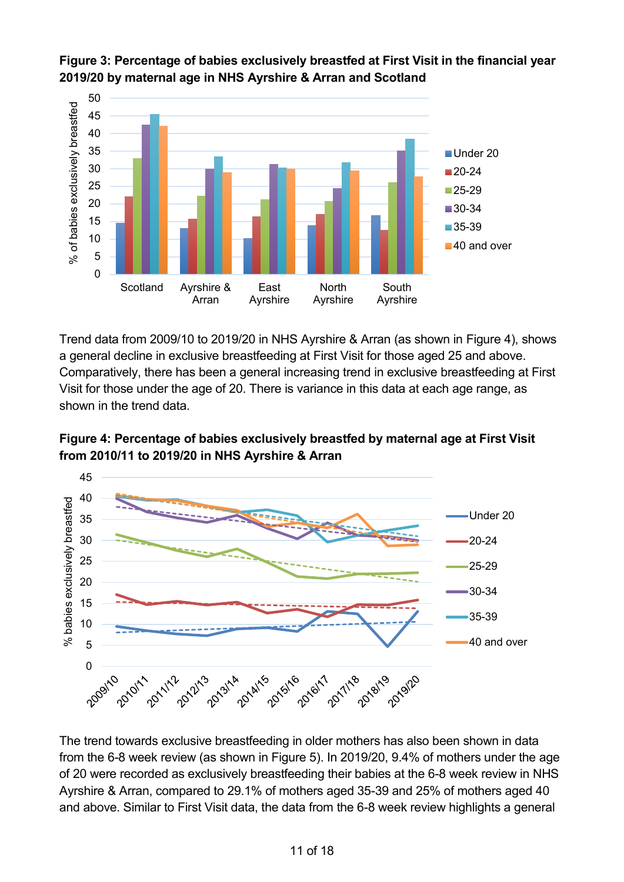

**Figure 3: Percentage of babies exclusively breastfed at First Visit in the financial year 2019/20 by maternal age in NHS Ayrshire & Arran and Scotland**

Trend data from 2009/10 to 2019/20 in NHS Ayrshire & Arran (as shown in Figure 4), shows a general decline in exclusive breastfeeding at First Visit for those aged 25 and above. Comparatively, there has been a general increasing trend in exclusive breastfeeding at First Visit for those under the age of 20. There is variance in this data at each age range, as shown in the trend data.





The trend towards exclusive breastfeeding in older mothers has also been shown in data from the 6-8 week review (as shown in Figure 5). In 2019/20, 9.4% of mothers under the age of 20 were recorded as exclusively breastfeeding their babies at the 6-8 week review in NHS Ayrshire & Arran, compared to 29.1% of mothers aged 35-39 and 25% of mothers aged 40 and above. Similar to First Visit data, the data from the 6-8 week review highlights a general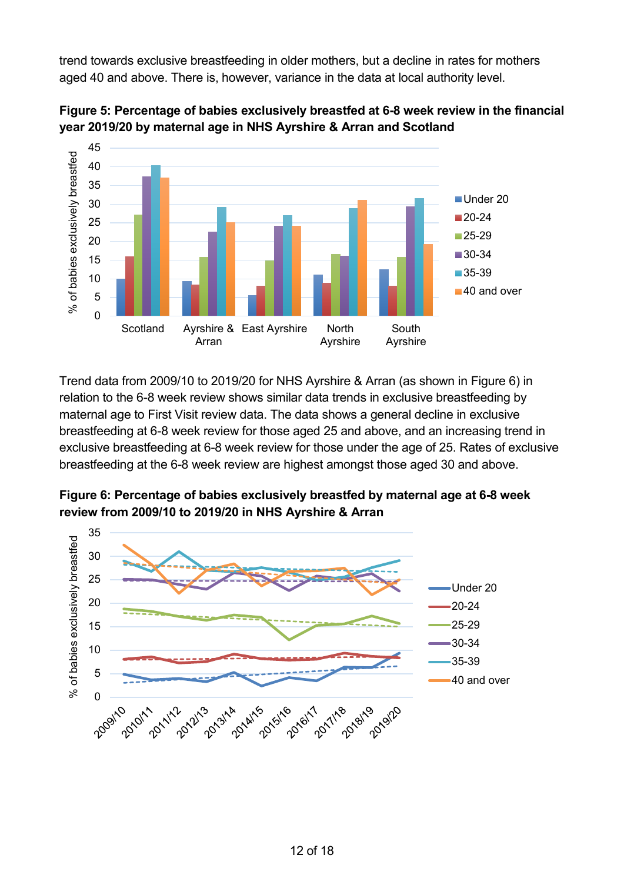trend towards exclusive breastfeeding in older mothers, but a decline in rates for mothers aged 40 and above. There is, however, variance in the data at local authority level.





Trend data from 2009/10 to 2019/20 for NHS Ayrshire & Arran (as shown in Figure 6) in relation to the 6-8 week review shows similar data trends in exclusive breastfeeding by maternal age to First Visit review data. The data shows a general decline in exclusive breastfeeding at 6-8 week review for those aged 25 and above, and an increasing trend in exclusive breastfeeding at 6-8 week review for those under the age of 25. Rates of exclusive breastfeeding at the 6-8 week review are highest amongst those aged 30 and above.



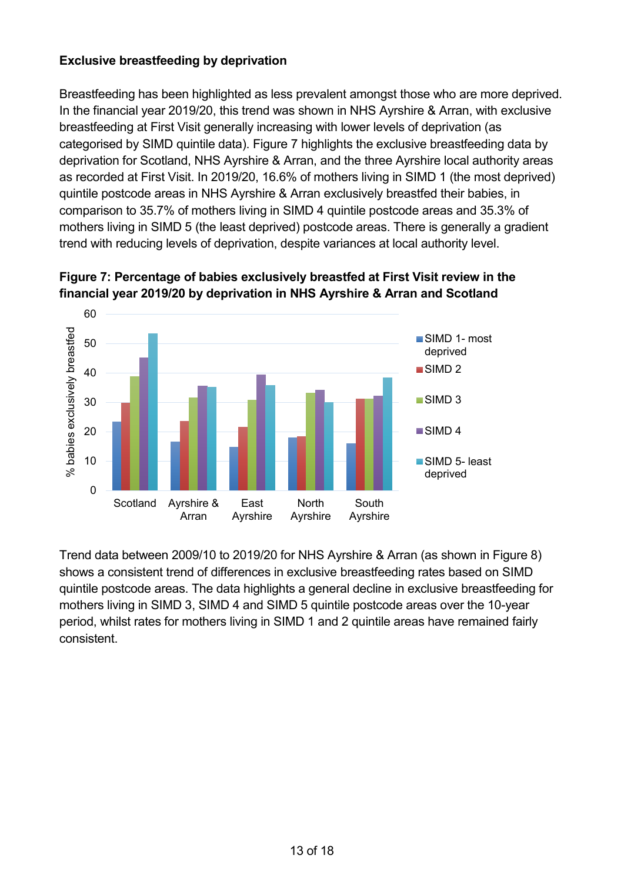# **Exclusive breastfeeding by deprivation**

Breastfeeding has been highlighted as less prevalent amongst those who are more deprived. In the financial year 2019/20, this trend was shown in NHS Ayrshire & Arran, with exclusive breastfeeding at First Visit generally increasing with lower levels of deprivation (as categorised by SIMD quintile data). Figure 7 highlights the exclusive breastfeeding data by deprivation for Scotland, NHS Ayrshire & Arran, and the three Ayrshire local authority areas as recorded at First Visit. In 2019/20, 16.6% of mothers living in SIMD 1 (the most deprived) quintile postcode areas in NHS Ayrshire & Arran exclusively breastfed their babies, in comparison to 35.7% of mothers living in SIMD 4 quintile postcode areas and 35.3% of mothers living in SIMD 5 (the least deprived) postcode areas. There is generally a gradient trend with reducing levels of deprivation, despite variances at local authority level.



**Figure 7: Percentage of babies exclusively breastfed at First Visit review in the financial year 2019/20 by deprivation in NHS Ayrshire & Arran and Scotland**

Trend data between 2009/10 to 2019/20 for NHS Ayrshire & Arran (as shown in Figure 8) shows a consistent trend of differences in exclusive breastfeeding rates based on SIMD quintile postcode areas. The data highlights a general decline in exclusive breastfeeding for mothers living in SIMD 3, SIMD 4 and SIMD 5 quintile postcode areas over the 10-year period, whilst rates for mothers living in SIMD 1 and 2 quintile areas have remained fairly consistent.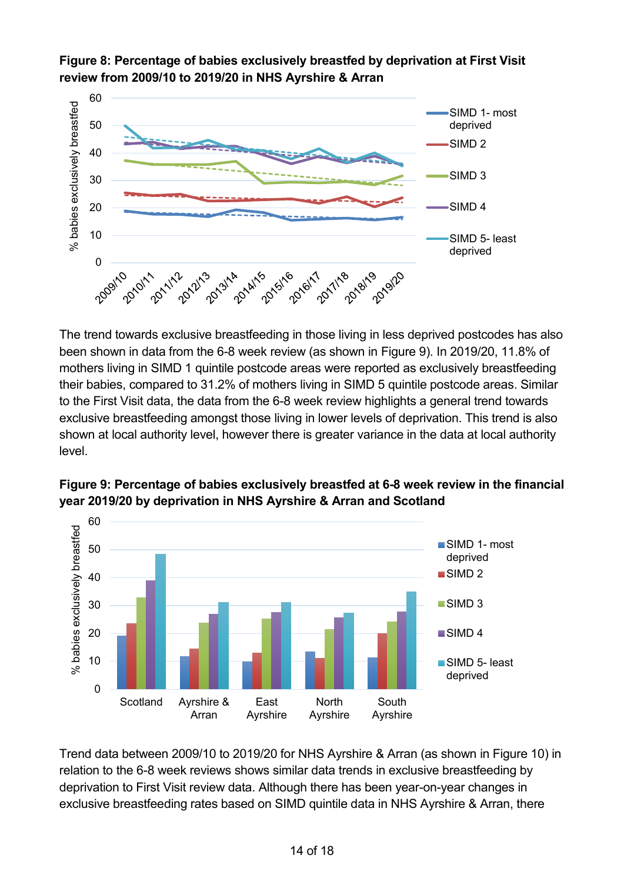

**Figure 8: Percentage of babies exclusively breastfed by deprivation at First Visit review from 2009/10 to 2019/20 in NHS Ayrshire & Arran**

The trend towards exclusive breastfeeding in those living in less deprived postcodes has also been shown in data from the 6-8 week review (as shown in Figure 9). In 2019/20, 11.8% of mothers living in SIMD 1 quintile postcode areas were reported as exclusively breastfeeding their babies, compared to 31.2% of mothers living in SIMD 5 quintile postcode areas. Similar to the First Visit data, the data from the 6-8 week review highlights a general trend towards exclusive breastfeeding amongst those living in lower levels of deprivation. This trend is also shown at local authority level, however there is greater variance in the data at local authority level.



**Figure 9: Percentage of babies exclusively breastfed at 6-8 week review in the financial year 2019/20 by deprivation in NHS Ayrshire & Arran and Scotland**

Trend data between 2009/10 to 2019/20 for NHS Ayrshire & Arran (as shown in Figure 10) in relation to the 6-8 week reviews shows similar data trends in exclusive breastfeeding by deprivation to First Visit review data. Although there has been year-on-year changes in exclusive breastfeeding rates based on SIMD quintile data in NHS Ayrshire & Arran, there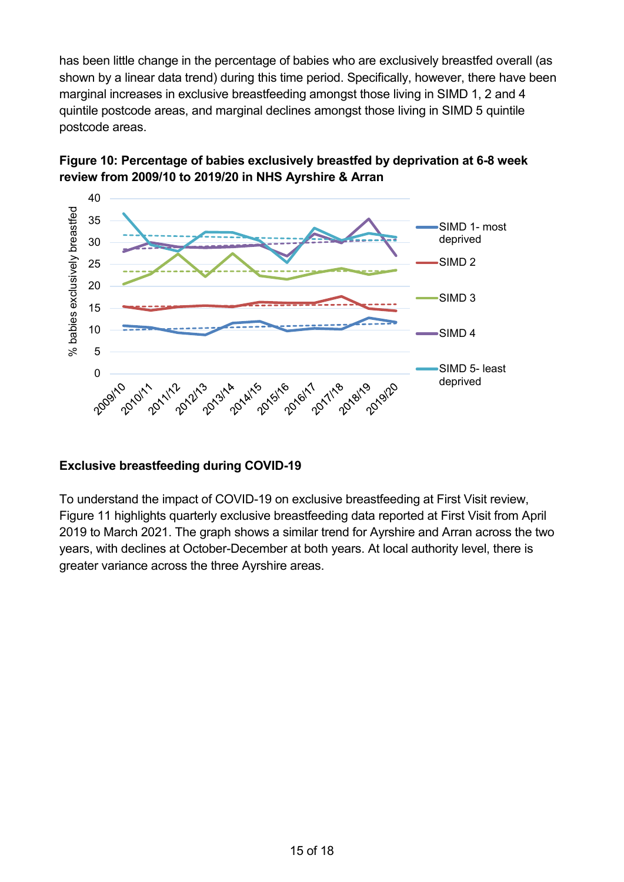has been little change in the percentage of babies who are exclusively breastfed overall (as shown by a linear data trend) during this time period. Specifically, however, there have been marginal increases in exclusive breastfeeding amongst those living in SIMD 1, 2 and 4 quintile postcode areas, and marginal declines amongst those living in SIMD 5 quintile postcode areas.





# **Exclusive breastfeeding during COVID-19**

To understand the impact of COVID-19 on exclusive breastfeeding at First Visit review, Figure 11 highlights quarterly exclusive breastfeeding data reported at First Visit from April 2019 to March 2021. The graph shows a similar trend for Ayrshire and Arran across the two years, with declines at October-December at both years. At local authority level, there is greater variance across the three Ayrshire areas.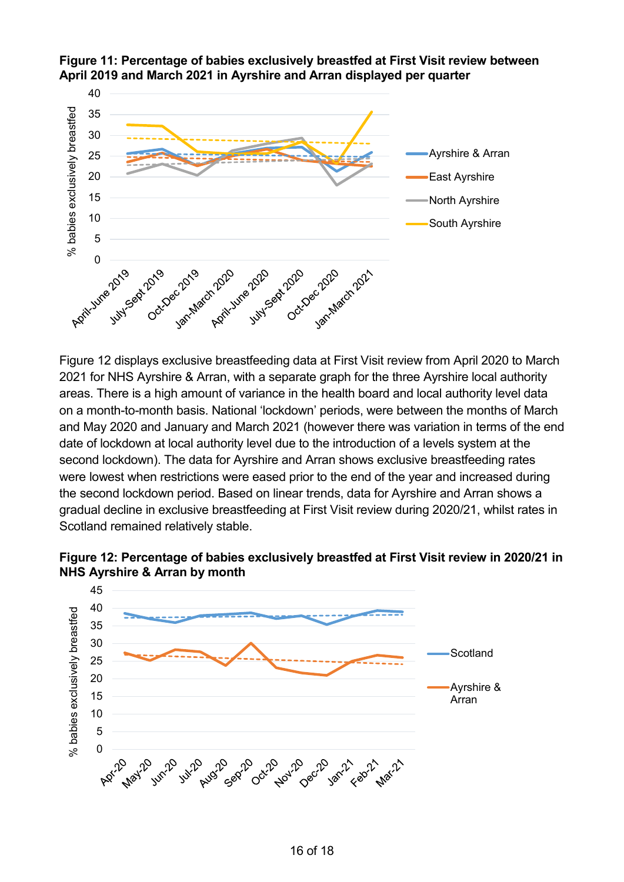

**Figure 11: Percentage of babies exclusively breastfed at First Visit review between April 2019 and March 2021 in Ayrshire and Arran displayed per quarter**

Figure 12 displays exclusive breastfeeding data at First Visit review from April 2020 to March 2021 for NHS Ayrshire & Arran, with a separate graph for the three Ayrshire local authority areas. There is a high amount of variance in the health board and local authority level data on a month-to-month basis. National 'lockdown' periods, were between the months of March and May 2020 and January and March 2021 (however there was variation in terms of the end date of lockdown at local authority level due to the introduction of a levels system at the second lockdown). The data for Ayrshire and Arran shows exclusive breastfeeding rates were lowest when restrictions were eased prior to the end of the year and increased during the second lockdown period. Based on linear trends, data for Ayrshire and Arran shows a gradual decline in exclusive breastfeeding at First Visit review during 2020/21, whilst rates in Scotland remained relatively stable.



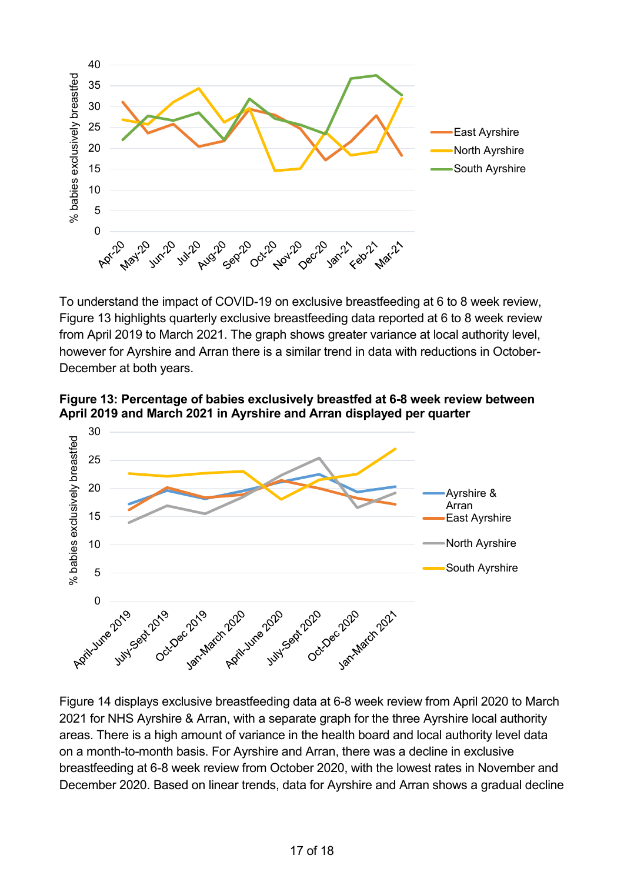

To understand the impact of COVID-19 on exclusive breastfeeding at 6 to 8 week review, Figure 13 highlights quarterly exclusive breastfeeding data reported at 6 to 8 week review from April 2019 to March 2021. The graph shows greater variance at local authority level, however for Ayrshire and Arran there is a similar trend in data with reductions in October-December at both years.

**Figure 13: Percentage of babies exclusively breastfed at 6-8 week review between April 2019 and March 2021 in Ayrshire and Arran displayed per quarter**



Figure 14 displays exclusive breastfeeding data at 6-8 week review from April 2020 to March 2021 for NHS Ayrshire & Arran, with a separate graph for the three Ayrshire local authority areas. There is a high amount of variance in the health board and local authority level data on a month-to-month basis. For Ayrshire and Arran, there was a decline in exclusive breastfeeding at 6-8 week review from October 2020, with the lowest rates in November and December 2020. Based on linear trends, data for Ayrshire and Arran shows a gradual decline